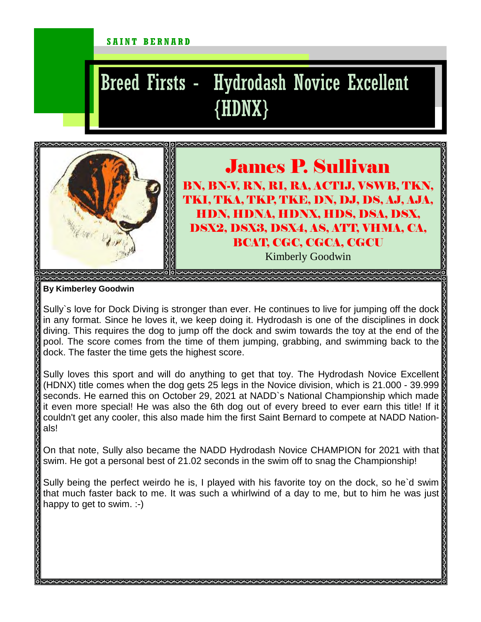#### SAINT BERNARD

# Breed Firsts - Hydrodash Novice Excellent {HDNX}



#### James P. Sullivan BN, BN-V, RN, RI, RA, ACT1J, VSWB, TKN, TKI, TKA, TKP, TKE, DN, DJ, DS, AJ, AJA, HDN, HDNA, HDNX, HDS, DSA, DSX, DSX2, DSX3, DSX4, AS, ATT, VHMA, CA, BCAT, CGC, CGCA, CGCU Kimberly Goodwin

**By Kimberley Goodwin** 

Sully`s love for Dock Diving is stronger than ever. He continues to live for jumping off the dock in any format. Since he loves it, we keep doing it. Hydrodash is one of the disciplines in dock diving. This requires the dog to jump off the dock and swim towards the toy at the end of the pool. The score comes from the time of them jumping, grabbing, and swimming back to the dock. The faster the time gets the highest score.

Sully loves this sport and will do anything to get that toy. The Hydrodash Novice Excellent (HDNX) title comes when the dog gets 25 legs in the Novice division, which is 21.000 - 39.999 seconds. He earned this on October 29, 2021 at NADD`s National Championship which made it even more special! He was also the 6th dog out of every breed to ever earn this title! If it couldn't get any cooler, this also made him the first Saint Bernard to compete at NADD Nationals!

On that note, Sully also became the NADD Hydrodash Novice CHAMPION for 2021 with that swim. He got a personal best of 21.02 seconds in the swim off to snag the Championship!

Sully being the perfect weirdo he is, I played with his favorite toy on the dock, so he'd swim that much faster back to me. It was such a whirlwind of a day to me, but to him he was just happy to get to swim. :-)